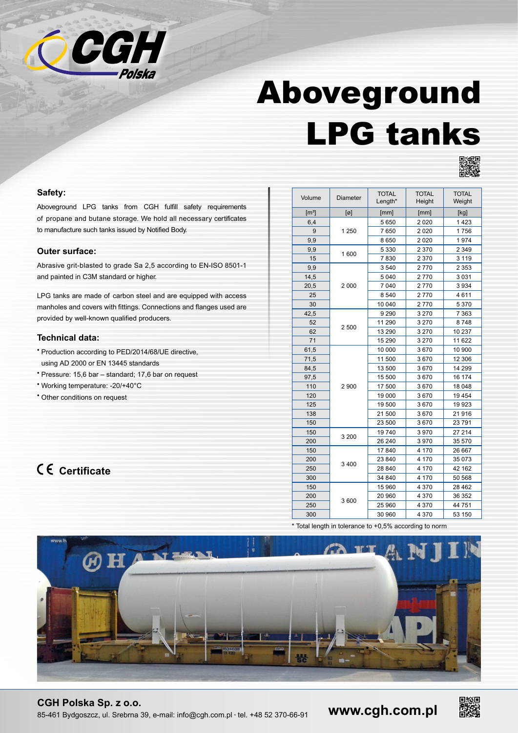

# Aboveground LPG tanks



#### **Safety:**

Aboveground LPG tanks from CGH fulfill safety requirements of propane and butane storage. We hold all necessary certificates to manufacture such tanks issued by Notified Body.

#### **Outer surface:**

Abrasive grit-blasted to grade Sa 2,5 according to EN-ISO 8501-1 and painted in C3M standard or higher.

LPG tanks are made of carbon steel and are equipped with access manholes and covers with fittings. Connections and flanges used are provided by well-known qualified producers.

### **Technical data:**

- Production according to PED/2014/68/UE directive, using AD 2000 or EN 13445 standards
- Pressure: 15,6 bar standard; 17,6 bar on request
- Working temperature: -20/+40°C
- Other conditions on request

## **Certificate**

| Volume              | <b>Diameter</b> | <b>TOTAL</b><br>Length* | <b>TOTAL</b><br>Height | <b>TOTAL</b><br>Weight |
|---------------------|-----------------|-------------------------|------------------------|------------------------|
| $\lceil m^3 \rceil$ | $[\varnothing]$ | [mm]                    | [mm]                   | [kg]                   |
| 6,4                 | 1 2 5 0         | 5 6 5 0                 | 2 0 2 0                | 1423                   |
| 9                   |                 | 7650                    | 2 0 2 0                | 1756                   |
| 9,9                 |                 | 8 6 5 0                 | 2 0 2 0                | 1974                   |
| 9,9                 | 1600            | 5 3 3 0                 | 2 3 7 0                | 2 3 4 9                |
| 15                  |                 | 7830                    | 2 3 7 0                | 3 1 1 9                |
| 9,9                 | 2000            | 3540                    | 2770                   | 2 3 5 3                |
| 14,5                |                 | 5 0 4 0                 | 2770                   | 3 0 3 1                |
| 20,5                |                 | 7 040                   | 2770                   | 3 9 3 4                |
| 25                  |                 | 8 5 4 0                 | 2770                   | 4611                   |
| 30                  |                 | 10 040                  | 2770                   | 5 370                  |
| 42,5                | 2500            | 9 2 9 0                 | 3 2 7 0                | 7 3 6 3                |
| 52                  |                 | 11 290                  | 3 2 7 0                | 8748                   |
| 62                  |                 | 13 290                  | 3 2 7 0                | 10 237                 |
| 71                  |                 | 15 290                  | 3 2 7 0                | 11 622                 |
| 61,5                | 2900            | 10 000                  | 3670                   | 10 900                 |
| 71,5                |                 | 11 500                  | 3670                   | 12 306                 |
| 84,5                |                 | 13 500                  | 3670                   | 14 299                 |
| 97,5                |                 | 15 500                  | 3670                   | 16 174                 |
| 110                 |                 | 17 500                  | 3670                   | 18 048                 |
| 120                 |                 | 19 000                  | 3670                   | 19 4 54                |
| 125                 |                 | 19 500                  | 3670                   | 19 923                 |
| 138                 |                 | 21 500                  | 3670                   | 21916                  |
| 150                 |                 | 23 500                  | 3670                   | 23 791                 |
| 150                 | 3 200           | 19740                   | 3970                   | 27 214                 |
| 200                 |                 | 26 240                  | 3970                   | 35 570                 |
| 150                 | 3400            | 17 840                  | 4 170                  | 26 667                 |
| 200                 |                 | 23 840                  | 4 170                  | 35 073                 |
| 250                 |                 | 28 840                  | 4 170                  | 42 162                 |
| 300                 |                 | 34 840                  | 4 170                  | 50 568                 |
| 150                 | 3600            | 15 960                  | 4 3 7 0                | 28 4 62                |
| 200                 |                 | 20 960                  | 4 3 7 0                | 36 352                 |
| 250                 |                 | 25 960                  | 4 3 7 0                | 44 751                 |
| 300                 |                 | 30 960                  | 4 370                  | 53 150                 |

\* Total length in tolerance to +0,5% according to norm



### **CGH Polska Sp. z o.o.**

85-461 Bydgoszcz, ul. Srebrna 39, e-mail: info@cgh.com.pl • tel. +48 52 370-66-91

**www.cgh.com.pl**